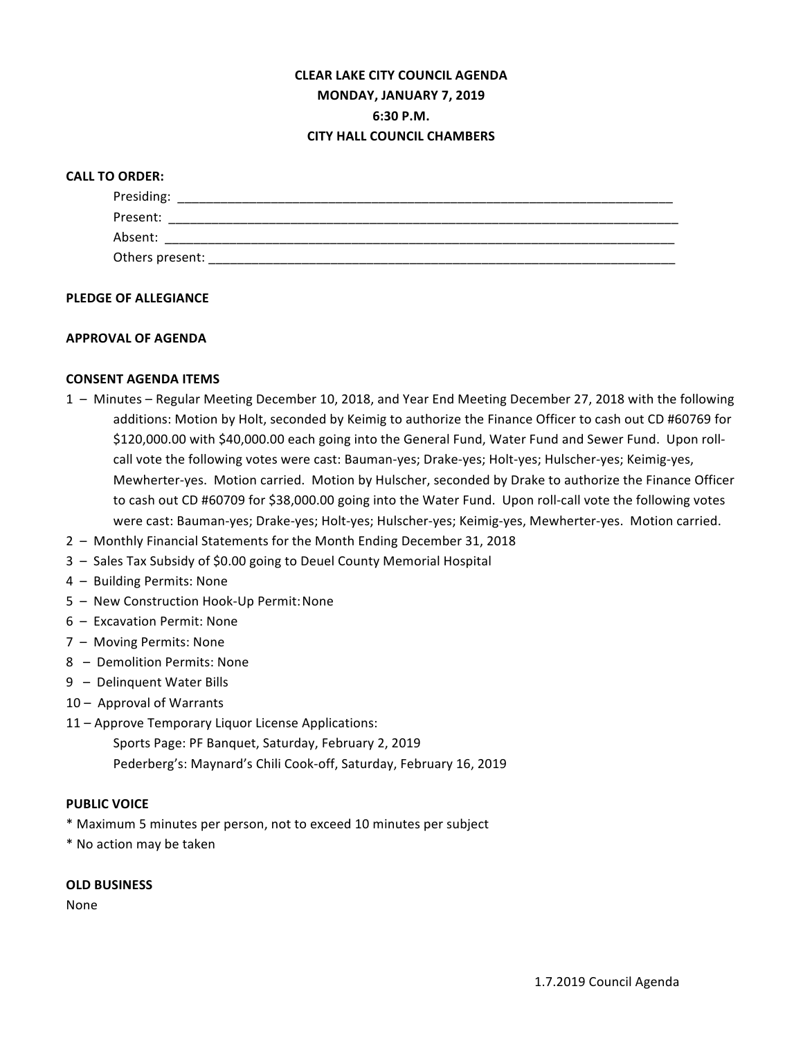# **CLEAR LAKE CITY COUNCIL AGENDA MONDAY, JANUARY 7, 2019 6:30 P.M. CITY HALL COUNCIL CHAMBERS**

## **CALL TO ORDER:**

| Presiding:      |  |
|-----------------|--|
| Present:        |  |
| Absent:         |  |
| Others present: |  |

#### **PLEDGE OF ALLEGIANCE**

## **APPROVAL OF AGENDA**

## **CONSENT AGENDA ITEMS**

- 1 Minutes Regular Meeting December 10, 2018, and Year End Meeting December 27, 2018 with the following additions: Motion by Holt, seconded by Keimig to authorize the Finance Officer to cash out CD #60769 for \$120,000.00 with \$40,000.00 each going into the General Fund, Water Fund and Sewer Fund. Upon rollcall vote the following votes were cast: Bauman-yes; Drake-yes; Holt-yes; Hulscher-yes; Keimig-yes, Mewherter-yes. Motion carried. Motion by Hulscher, seconded by Drake to authorize the Finance Officer to cash out CD #60709 for \$38,000.00 going into the Water Fund. Upon roll-call vote the following votes were cast: Bauman-yes; Drake-yes; Holt-yes; Hulscher-yes; Keimig-yes, Mewherter-yes. Motion carried.
- 2 Monthly Financial Statements for the Month Ending December 31, 2018
- 3 Sales Tax Subsidy of \$0.00 going to Deuel County Memorial Hospital
- 4 Building Permits: None
- 5 New Construction Hook-Up Permit: None
- 6 Excavation Permit: None
- 7 Moving Permits: None
- 8 Demolition Permits: None
- 9 Delinquent Water Bills
- 10 Approval of Warrants
- 11 Approve Temporary Liquor License Applications:
	- Sports Page: PF Banquet, Saturday, February 2, 2019 Pederberg's: Maynard's Chili Cook-off, Saturday, February 16, 2019

#### **PUBLIC VOICE**

- \* Maximum 5 minutes per person, not to exceed 10 minutes per subject
- \* No action may be taken

#### **OLD BUSINESS**

None